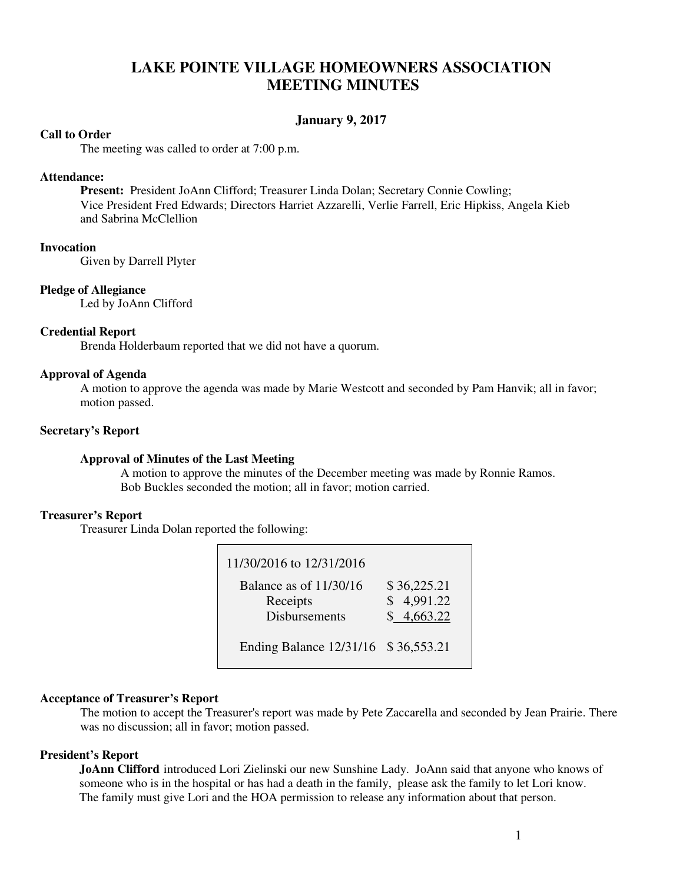# **LAKE POINTE VILLAGE HOMEOWNERS ASSOCIATION MEETING MINUTES**

# **January 9, 2017**

# **Call to Order**

The meeting was called to order at 7:00 p.m.

#### **Attendance:**

**Present:** President JoAnn Clifford; Treasurer Linda Dolan; Secretary Connie Cowling; Vice President Fred Edwards; Directors Harriet Azzarelli, Verlie Farrell, Eric Hipkiss, Angela Kieb and Sabrina McClellion

# **Invocation**

Given by Darrell Plyter

# **Pledge of Allegiance**

Led by JoAnn Clifford

#### **Credential Report**

Brenda Holderbaum reported that we did not have a quorum.

#### **Approval of Agenda**

 A motion to approve the agenda was made by Marie Westcott and seconded by Pam Hanvik; all in favor; motion passed.

# **Secretary's Report**

#### **Approval of Minutes of the Last Meeting**

A motion to approve the minutes of the December meeting was made by Ronnie Ramos. Bob Buckles seconded the motion; all in favor; motion carried.

# **Treasurer's Report**

Treasurer Linda Dolan reported the following:

| 11/30/2016 to 12/31/2016                                     |                                         |
|--------------------------------------------------------------|-----------------------------------------|
| Balance as of $11/30/16$<br>Receipts<br><b>Disbursements</b> | \$36,225.21<br>\$4,991.22<br>\$4,663.22 |
| Ending Balance 12/31/16 \$36,553.21                          |                                         |

# **Acceptance of Treasurer's Report**

The motion to accept the Treasurer's report was made by Pete Zaccarella and seconded by Jean Prairie. There was no discussion; all in favor; motion passed.

# **President's Report**

 **JoAnn Clifford** introduced Lori Zielinski our new Sunshine Lady. JoAnn said that anyone who knows of someone who is in the hospital or has had a death in the family, please ask the family to let Lori know. The family must give Lori and the HOA permission to release any information about that person.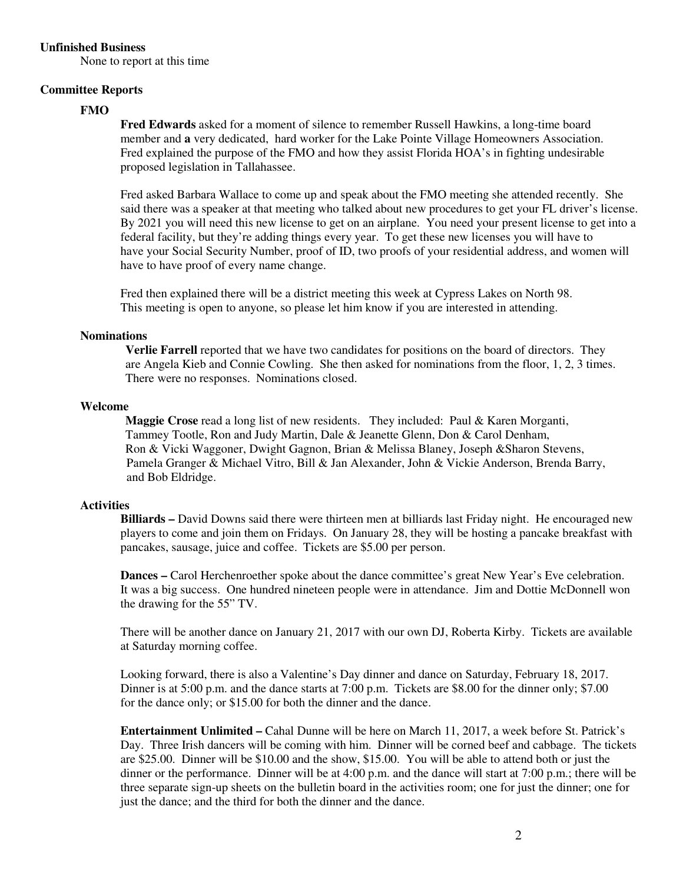#### **Unfinished Business**

None to report at this time

### **Committee Reports**

# **FMO**

**Fred Edwards** asked for a moment of silence to remember Russell Hawkins, a long-time board member and **a** very dedicated, hard worker for the Lake Pointe Village Homeowners Association. Fred explained the purpose of the FMO and how they assist Florida HOA's in fighting undesirable proposed legislation in Tallahassee.

Fred asked Barbara Wallace to come up and speak about the FMO meeting she attended recently. She said there was a speaker at that meeting who talked about new procedures to get your FL driver's license. By 2021 you will need this new license to get on an airplane. You need your present license to get into a federal facility, but they're adding things every year. To get these new licenses you will have to have your Social Security Number, proof of ID, two proofs of your residential address, and women will have to have proof of every name change.

Fred then explained there will be a district meeting this week at Cypress Lakes on North 98. This meeting is open to anyone, so please let him know if you are interested in attending.

#### **Nominations**

 **Verlie Farrell** reported that we have two candidates for positions on the board of directors. They are Angela Kieb and Connie Cowling. She then asked for nominations from the floor, 1, 2, 3 times. There were no responses. Nominations closed.

#### **Welcome**

 **Maggie Crose** read a long list of new residents. They included: Paul & Karen Morganti, Tammey Tootle, Ron and Judy Martin, Dale & Jeanette Glenn, Don & Carol Denham, Ron & Vicki Waggoner, Dwight Gagnon, Brian & Melissa Blaney, Joseph &Sharon Stevens, Pamela Granger & Michael Vitro, Bill & Jan Alexander, John & Vickie Anderson, Brenda Barry, and Bob Eldridge.

# **Activities**

**Billiards – David Downs said there were thirteen men at billiards last Friday night. He encouraged new**  players to come and join them on Fridays. On January 28, they will be hosting a pancake breakfast with pancakes, sausage, juice and coffee. Tickets are \$5.00 per person.

 **Dances –** Carol Herchenroether spoke about the dance committee's great New Year's Eve celebration. It was a big success. One hundred nineteen people were in attendance. Jim and Dottie McDonnell won the drawing for the 55" TV.

There will be another dance on January 21, 2017 with our own DJ, Roberta Kirby. Tickets are available at Saturday morning coffee.

 Looking forward, there is also a Valentine's Day dinner and dance on Saturday, February 18, 2017. Dinner is at 5:00 p.m. and the dance starts at 7:00 p.m. Tickets are \$8.00 for the dinner only; \$7.00 for the dance only; or \$15.00 for both the dinner and the dance.

**Entertainment Unlimited –** Cahal Dunne will be here on March 11, 2017, a week before St. Patrick's Day. Three Irish dancers will be coming with him. Dinner will be corned beef and cabbage. The tickets are \$25.00. Dinner will be \$10.00 and the show, \$15.00. You will be able to attend both or just the dinner or the performance. Dinner will be at 4:00 p.m. and the dance will start at 7:00 p.m.; there will be three separate sign-up sheets on the bulletin board in the activities room; one for just the dinner; one for just the dance; and the third for both the dinner and the dance.